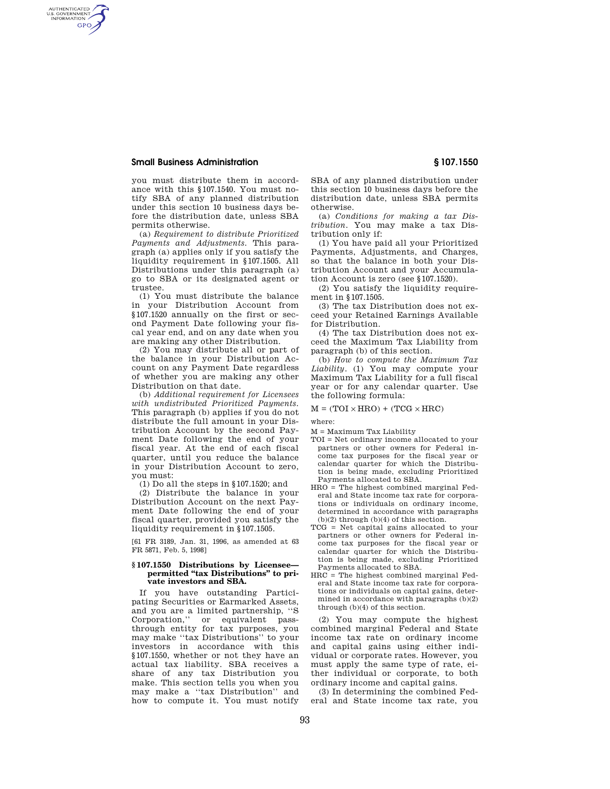## **Small Business Administration § 107.1550**

AUTHENTICATED<br>U.S. GOVERNMENT<br>INFORMATION **GPO** 

> you must distribute them in accordance with this §107.1540. You must notify SBA of any planned distribution under this section 10 business days before the distribution date, unless SBA permits otherwise.

> (a) *Requirement to distribute Prioritized Payments and Adjustments.* This paragraph (a) applies only if you satisfy the liquidity requirement in §107.1505. All Distributions under this paragraph (a) go to SBA or its designated agent or trustee.

> (1) You must distribute the balance in your Distribution Account from §107.1520 annually on the first or second Payment Date following your fiscal year end, and on any date when you are making any other Distribution.

> (2) You may distribute all or part of the balance in your Distribution Account on any Payment Date regardless of whether you are making any other Distribution on that date.

> (b) *Additional requirement for Licensees with undistributed Prioritized Payments.*  This paragraph (b) applies if you do not distribute the full amount in your Distribution Account by the second Payment Date following the end of your fiscal year. At the end of each fiscal quarter, until you reduce the balance in your Distribution Account to zero, you must:

(1) Do all the steps in §107.1520; and

(2) Distribute the balance in your Distribution Account on the next Payment Date following the end of your fiscal quarter, provided you satisfy the liquidity requirement in §107.1505.

[61 FR 3189, Jan. 31, 1996, as amended at 63 FR 5871, Feb. 5, 1998]

#### **§ 107.1550 Distributions by Licensee**  permitted "tax Distributions" to pri**vate investors and SBA.**

If you have outstanding Participating Securities or Earmarked Assets, and you are a limited partnership, ''S Corporation,'' or equivalent passthrough entity for tax purposes, you may make ''tax Distributions'' to your investors in accordance with this §107.1550, whether or not they have an actual tax liability. SBA receives a share of any tax Distribution you make. This section tells you when you may make a ''tax Distribution'' and how to compute it. You must notify

SBA of any planned distribution under this section 10 business days before the distribution date, unless SBA permits otherwise.

(a) *Conditions for making a tax Distribution.* You may make a tax Distribution only if:

(1) You have paid all your Prioritized Payments, Adjustments, and Charges, so that the balance in both your Distribution Account and your Accumulation Account is zero (see §107.1520).

(2) You satisfy the liquidity requirement in §107.1505.

(3) The tax Distribution does not exceed your Retained Earnings Available for Distribution.

(4) The tax Distribution does not exceed the Maximum Tax Liability from paragraph (b) of this section.

(b) *How to compute the Maximum Tax Liability.* (1) You may compute your Maximum Tax Liability for a full fiscal year or for any calendar quarter. Use the following formula:

### $M = (TOI \times HRO) + (TCG \times HRC)$

where:

- M = Maximum Tax Liability
- TOI = Net ordinary income allocated to your partners or other owners for Federal income tax purposes for the fiscal year or calendar quarter for which the Distribution is being made, excluding Prioritized Payments allocated to SBA.
- HRO = The highest combined marginal Federal and State income tax rate for corporations or individuals on ordinary income, determined in accordance with paragraphs  $(b)(2)$  through  $(b)(4)$  of this section.
- TCG = Net capital gains allocated to your partners or other owners for Federal income tax purposes for the fiscal year or calendar quarter for which the Distribution is being made, excluding Prioritized Payments allocated to SBA.
- HRC = The highest combined marginal Federal and State income tax rate for corporations or individuals on capital gains, determined in accordance with paragraphs (b)(2) through (b)(4) of this section.

(2) You may compute the highest combined marginal Federal and State income tax rate on ordinary income and capital gains using either individual or corporate rates. However, you must apply the same type of rate, either individual or corporate, to both ordinary income and capital gains.

(3) In determining the combined Federal and State income tax rate, you